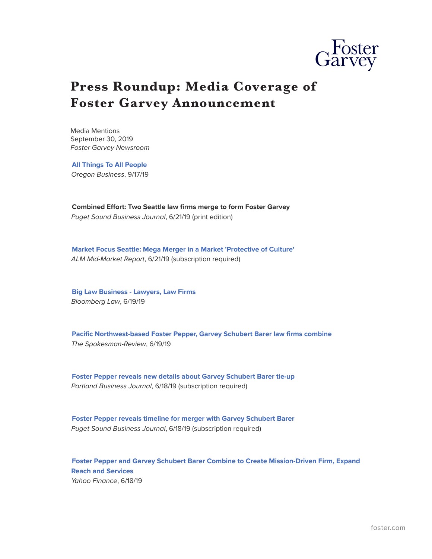

## **Press Roundup: Media Coverage of Foster Garvey Announcement**

Media Mentions September 30, 2019 *Foster Garvey Newsroom*

**[All Things To All People](https://www.oregonbusiness.com/article/professional-services/item/18860-all-things-to-all-people)** *Oregon Business*, 9/17/19

**Combined Effort: Two Seattle law firms merge to form Foster Garvey** *Puget Sound Business Journal*, 6/21/19 (print edition)

**[Market Focus Seattle: Mega Merger in a Market 'Protective of Culture'](https://www.law.com/mid-market-report/2019/06/20/market-focus-seattle-mega-merger-in-a-market-protective-of-culture/?utm_source=email&utm_medium=enl&utm_campaign=midmarketreport&utm_content=20190621&utm_term=mmr)**  *ALM Mid-Market Report*, 6/21/19 (subscription required)

**[Big Law Business - Lawyers, Law Firms](https://biglawbusiness.com/wake-up-call-monsanto-accuses-roundup-plaintiffs-counsel-of-misconduct)** *Bloomberg Law*, 6/19/19

**[Pacific Northwest-based Foster Pepper, Garvey Schubert Barer law firms combine](https://www.spokesman.com/stories/2019/jun/19/pacific-northwest-based-foster-pepper-garvey-schub/)** *The Spokesman-Review*, 6/19/19

**[Foster Pepper reveals new details about Garvey Schubert Barer tie-up](https://www.bizjournals.com/portland/news/2019/06/18/foster-pepper-reveals-new-details-about-garvey.html?ana=e_du_prem&mkt_tok=eyJpIjoiTldJMVlUTXpPRFF6TXpsbSIsInQiOiJTUEJcLysyUVNlSG9QWVJsWWpOWkdvSTF6NVF5aWhRSDVOVThSaGpGYkt1MjM0RXJxVTQzbXRsM0pLQUhIZzQ3Y0g1TTIrUVwvUno5ZFFzRU5IcGI0RXZscEJHQSs5RDN0VzhSVnZkM0pGaWRJMFMxejFLOTlxdG5NaDBSeVV4YVRSIn0%3D)**  *Portland Business Journal*, 6/18/19 (subscription required)

**[Foster Pepper reveals timeline for merger with Garvey Schubert Barer](https://www.bizjournals.com/seattle/news/2019/06/18/foster-pepper-reveals-new-details-about-garvey.html?ana=e_mc_prem&mkt_tok=eyJpIjoiTkdSbU16Z3habVJqT0RJNSIsInQiOiJsQjkzcXBUOHpWbGlkN21qaFwvRjUrRFF0clNZY2Zqb2lzd3M1aHJJSHI3ZlRHcDlaUEpmMzN1UmdpTzdzd3FhbThSZ1V3Tks3aHFiOE9lRXNFaEhvazJzQWZqa3pza2pXZzZlenVpVWlDN1FpXC85YjZVcjM5dVZaOWNFU0V2XC90SiJ9)**  *Puget Sound Business Journal*, 6/18/19 (subscription required)

**[Foster Pepper and Garvey Schubert Barer Combine to Create Mission-Driven Firm, Expand](https://finance.yahoo.com/news/foster-pepper-garvey-schubert-barer-160000302.html) [Reach and Services](https://finance.yahoo.com/news/foster-pepper-garvey-schubert-barer-160000302.html)** *Yahoo Finance*, 6/18/19